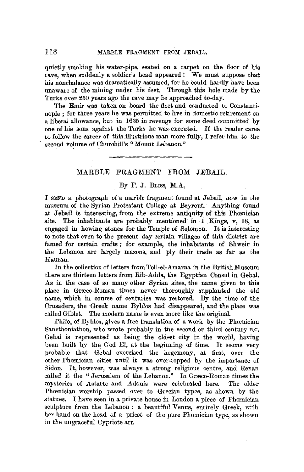quietly smoking his water-pipe, seated on a carpet on the floor of his cave, when suddenly a soldier's head appeared ! We must suppose that his nonchalance was dramatically assumed, for he could hardly have been unaware of the mining under his feet. Through this hole made by the Turks over 250 years ago the cave may be approached to-day.

The Emir was taken on board the fleet and conducted to Constantinople ; for three years he was permitted to live in domestic retirement on a liberal allowance, but in 1635 in revenge for some deed committed by one of his sons against the Turks he was executed. If the reader cares to follow the career of this illustrious man more fully,  $\Gamma$  refer him to the second volume of Churchill's "Mount Lebanon."

## MARBLE FRAGMENT FROM JEBAIL.

<u> 1989 i Samuel B</u>

## By F. J. BLISS, M.A.

*1* **sEND** a photograph of a marble fragment found at Jebail, now in the museum of the Syrian Protestant College at Beyrout. Anything found at Jebail is interesting, from the extreme antiquity of this Phœnician site. The inhabitants are probably mentioned in I Kings, v, 18, as engaged in hewing stones for the Temple of Solomon. It is interesting to note that even to the present day certain villages of this district are famed for certain crafts; for example, the inhabitants of Shweir in the Lebanon are largely masons, and ply their trade as far as the Hauran.

In the collection of letters from Tell-el-Amarna in the British Museum there are thirteen letters from Rib-Adda, the Egyptian Consul in Gebal. As in the case of so many other Syrian sites, the name given to this place in Græco-Roman times never thoroughly supplanted the old name, which in course of centuries was restored. By the time of the Crusaders, the Greek name Byblos had disappeared, and the place was called Giblet. The modern name is even more like the original

Philo, of Byblos, gives a free translation of a work by the Phoenician Sancthoniathon, who wrote probably in the second or third century B.C. Gebal is represented as being the oldest city in the world, having been built by the God El, at the beginning of time. It seems very probable that Gebal exercised the hegemony, at first, over the other Phœnician cities until it was over-topped by the importance of Sidon. It, however, was always a strong religious centre, and Renan called it the "Jerusalem of the Lebanon." In Græco-Roman times the mysteries of Astarte and Adonis were celebrated here. The older Phœnician worship passed over to Grecian types, as shown by the statues. I have seen in a private house in London a piece of Phœnician sculpture from the Lebanon: a beautiful Venus, entirely Greek, wiih her hand on the head of a priest of the pure Phoenician type, as shown in the ungraceful Cypriote art.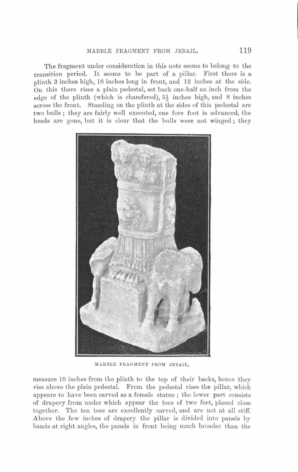## MARBLE FRAGMENT FROM JEBAIL. 119

The fragment under consideration in this note seems to belong to the transition period. It seems to be part of a pillar. First there is a plinth 3 inches high, 18 inches long in front, and 12 inches at the side. On this there rises a plain pedestal, set back one-half an inch from the edge of the plinth (which is chamfered), 5½ inches high, and 8 inches across the front. Standing on the plinth at the sides of this pedestal are two bulls ; they are fairly well executed, one fore foot is advanced, the heads are gone, but it is clear that the bulls were not winged; they



MARBLE FRAGMENT FROM JEBAIL.

measure 10 inches from the plinth to the top of their backs, hence they rise above the plain pedestal. From the pedestal rises the pillar, which appears to have been carved as a female statue ; the lower part consists of drapery from under which appear the toes of two feet, placed close together. The ten toes are excellently carved, and are not at all stiff. Above the few inches of drapery the pillar is divided into panels by bands at right angles, the panels in front being much broader thau the